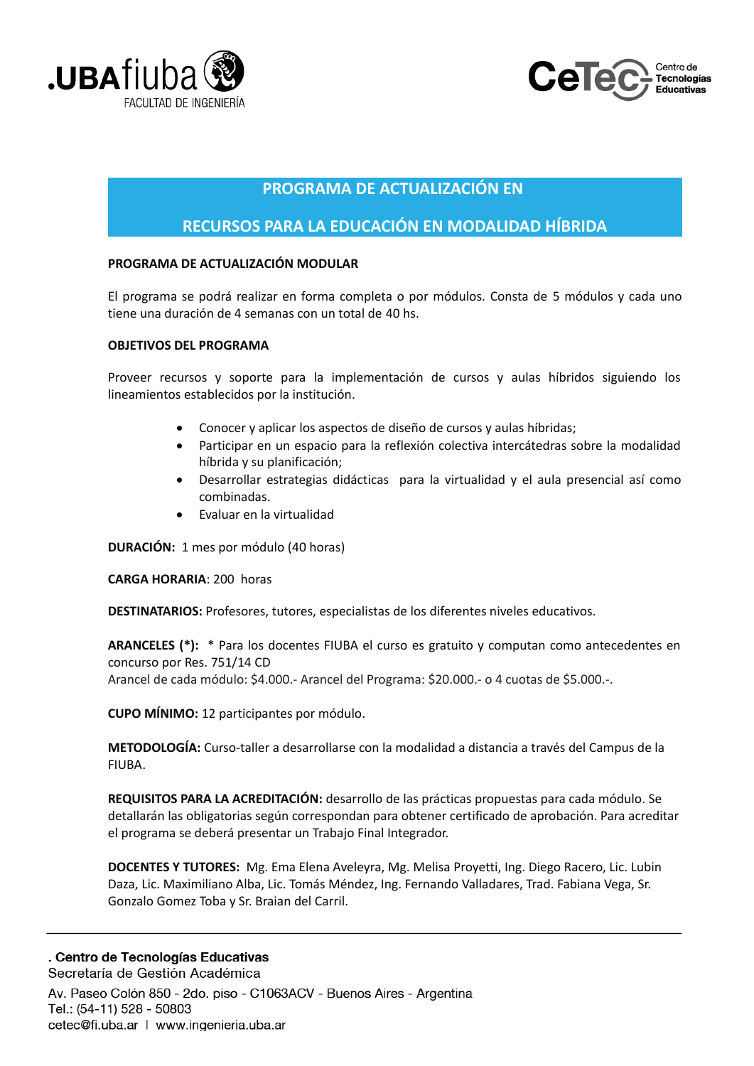



## **PROGRAMA DE ACTUALIZACIÓN EN**

## RECURSOS PARA LA EDUCACIÓN EN MODALIDAD HÍBRIDA

### PROGRAMA DE ACTUALIZACIÓN MODULAR

El programa se podrá realizar en forma completa o por módulos. Consta de 5 módulos y cada uno tiene una duración de 4 semanas con un total de 40 hs.

#### **OBJETIVOS DEL PROGRAMA**

Proveer recursos y soporte para la implementación de cursos y aulas híbridos siguiendo los lineamientos establecidos por la institución.

- Conocer y aplicar los aspectos de diseño de cursos y aulas híbridas;
- Participar en un espacio para la reflexión colectiva intercátedras sobre la modalidad  $\bullet$ híbrida y su planificación;
- Desarrollar estrategias didácticas para la virtualidad y el aula presencial así como combinadas.
- Evaluar en la virtualidad

**DURACIÓN:** 1 mes por módulo (40 horas)

**CARGA HORARIA: 200 horas** 

DESTINATARIOS: Profesores, tutores, especialistas de los diferentes niveles educativos.

**ARANCELES (\*):** \* Para los docentes FIUBA el curso es gratuito y computan como antecedentes en concurso por Res. 751/14 CD

Arancel de cada módulo: \$4.000.- Arancel del Programa: \$20.000.- o 4 cuotas de \$5.000.-.

**CUPO MÍNIMO:** 12 participantes por módulo.

METODOLOGÍA: Curso-taller a desarrollarse con la modalidad a distancia a través del Campus de la FIUBA.

REQUISITOS PARA LA ACREDITACIÓN: desarrollo de las prácticas propuestas para cada módulo. Se detallarán las obligatorias según correspondan para obtener certificado de aprobación. Para acreditar el programa se deberá presentar un Trabajo Final Integrador.

DOCENTES Y TUTORES: Mg. Ema Elena Avelevra, Mg. Melisa Provetti, Ing. Diego Racero, Lic. Lubin Daza, Lic. Maximiliano Alba, Lic. Tomás Méndez, Ing. Fernando Valladares, Trad. Fabiana Vega, Sr. Gonzalo Gomez Toba y Sr. Braian del Carril.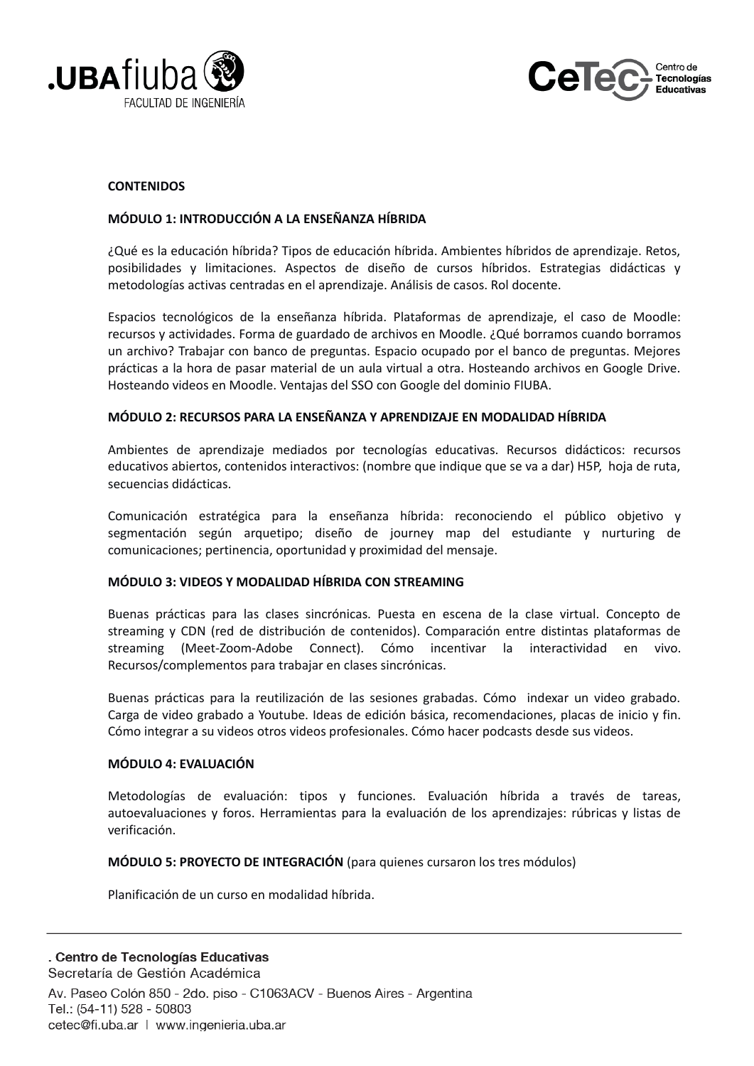



#### **CONTENIDOS**

#### MÓDULO 1: INTRODUCCIÓN A LA ENSEÑANZA HÍBRIDA

¿Qué es la educación híbrida? Tipos de educación híbrida. Ambientes híbridos de aprendizaje. Retos, posibilidades y limitaciones. Aspectos de diseño de cursos híbridos. Estrategias didácticas y metodologías activas centradas en el aprendizaje. Análisis de casos. Rol docente.

Espacios tecnológicos de la enseñanza híbrida. Plataformas de aprendizaje, el caso de Moodle: recursos y actividades. Forma de guardado de archivos en Moodle. ¿Qué borramos cuando borramos un archivo? Trabajar con banco de preguntas. Espacio ocupado por el banco de preguntas. Mejores prácticas a la hora de pasar material de un aula virtual a otra. Hosteando archivos en Google Drive. Hosteando videos en Moodle. Ventajas del SSO con Google del dominio FIUBA.

#### MÓDULO 2: RECURSOS PARA LA ENSEÑANZA Y APRENDIZAJE EN MODALIDAD HÍBRIDA

Ambientes de aprendizaje mediados por tecnologías educativas. Recursos didácticos: recursos educativos abiertos, contenidos interactivos: (nombre que indique que se va a dar) H5P, hoja de ruta, secuencias didácticas.

Comunicación estratégica para la enseñanza híbrida: reconociendo el público objetivo y segmentación según arquetipo; diseño de journey map del estudiante y nurturing de comunicaciones; pertinencia, oportunidad y proximidad del mensaje.

#### MÓDULO 3: VIDEOS Y MODALIDAD HÍBRIDA CON STREAMING

Buenas prácticas para las clases sincrónicas. Puesta en escena de la clase virtual. Concepto de streaming y CDN (red de distribución de contenidos). Comparación entre distintas plataformas de streaming (Meet-Zoom-Adobe Connect). Cómo incentivar la interactividad en vivo. Recursos/complementos para trabajar en clases sincrónicas.

Buenas prácticas para la reutilización de las sesiones grabadas. Cómo indexar un video grabado. Carga de video grabado a Youtube. Ideas de edición básica, recomendaciones, placas de inicio y fin. Cómo integrar a su videos otros videos profesionales. Cómo hacer podcasts desde sus videos.

#### **MÓDULO 4: EVALUACIÓN**

Metodologías de evaluación: tipos y funciones. Evaluación híbrida a través de tareas, autoevaluaciones y foros. Herramientas para la evaluación de los aprendizajes: rúbricas y listas de verificación.

**MÓDULO 5: PROYECTO DE INTEGRACIÓN** (para quienes cursaron los tres módulos)

Planificación de un curso en modalidad híbrida.

cetec@fi.uba.ar | www.ingenieria.uba.ar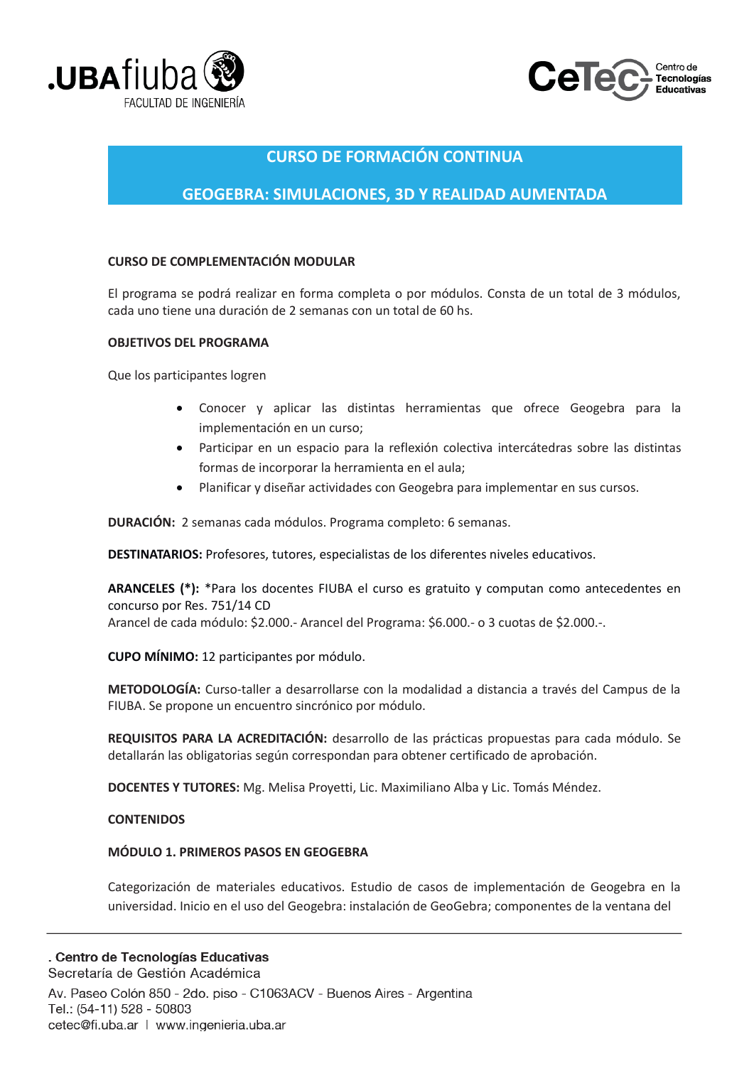



## **CURSO DE FORMACIÓN CONTINUA**

## **GEOGEBRA: SIMULACIONES, 3D Y REALIDAD AUMENTADA**

### **CURSO DE COMPLEMENTACIÓN MODULAR**

El programa se podrá realizar en forma completa o por módulos. Consta de un total de 3 módulos, cada uno tiene una duración de 2 semanas con un total de 60 hs.

#### **OBJETIVOS DEL PROGRAMA**

Que los participantes logren

- Conocer y aplicar las distintas herramientas que ofrece Geogebra para la implementación en un curso:
- Participar en un espacio para la reflexión colectiva intercátedras sobre las distintas formas de incorporar la herramienta en el aula;
- Planificar y diseñar actividades con Geogebra para implementar en sus cursos.  $\bullet$

**DURACIÓN:** 2 semanas cada módulos. Programa completo: 6 semanas.

DESTINATARIOS: Profesores, tutores, especialistas de los diferentes niveles educativos.

ARANCELES (\*): \*Para los docentes FIUBA el curso es gratuito y computan como antecedentes en concurso por Res. 751/14 CD Arancel de cada módulo: \$2.000.- Arancel del Programa: \$6.000.- o 3 cuotas de \$2.000.-.

**CUPO MÍNIMO:** 12 participantes por módulo.

METODOLOGÍA: Curso-taller a desarrollarse con la modalidad a distancia a través del Campus de la FIUBA. Se propone un encuentro sincrónico por módulo.

REQUISITOS PARA LA ACREDITACIÓN: desarrollo de las prácticas propuestas para cada módulo. Se detallarán las obligatorias según correspondan para obtener certificado de aprobación.

DOCENTES Y TUTORES: Mg. Melisa Proyetti, Lic. Maximiliano Alba y Lic. Tomás Méndez.

### **CONTENIDOS**

### MÓDULO 1. PRIMEROS PASOS EN GEOGEBRA

Categorización de materiales educativos. Estudio de casos de implementación de Geogebra en la universidad. Inicio en el uso del Geogebra: instalación de GeoGebra; componentes de la ventana del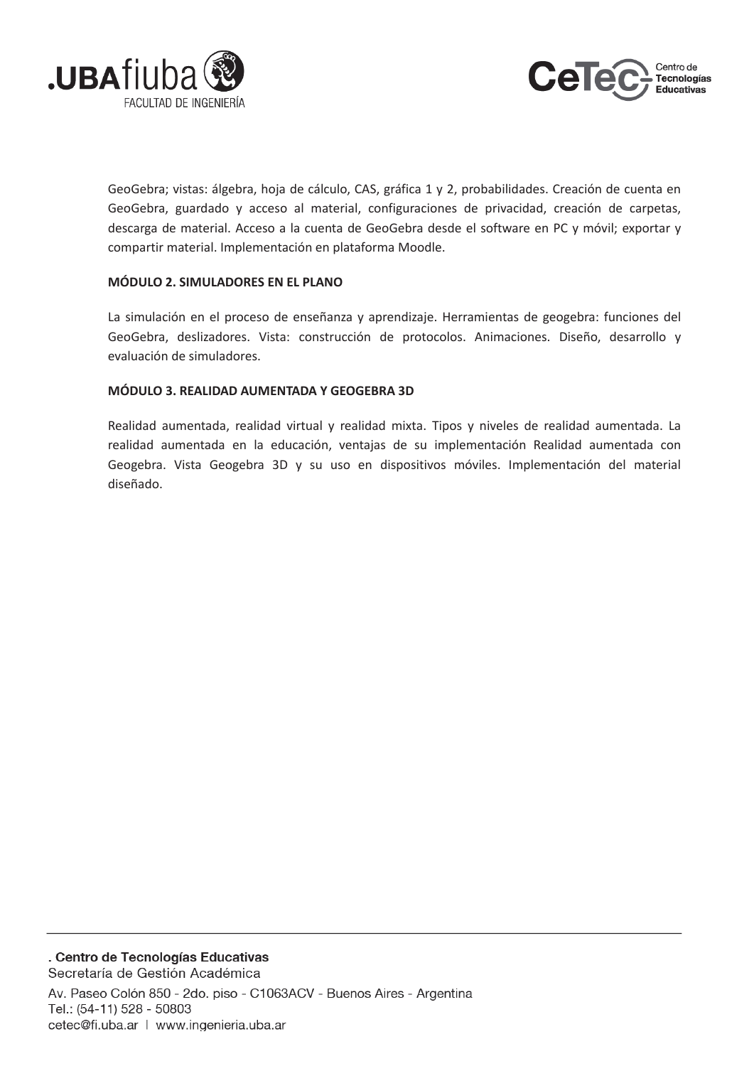



GeoGebra; vistas: álgebra, hoja de cálculo, CAS, gráfica 1 y 2, probabilidades. Creación de cuenta en GeoGebra, guardado y acceso al material, configuraciones de privacidad, creación de carpetas, descarga de material. Acceso a la cuenta de GeoGebra desde el software en PC y móvil; exportar y compartir material. Implementación en plataforma Moodle.

### MÓDULO 2. SIMULADORES EN EL PLANO

La simulación en el proceso de enseñanza y aprendizaje. Herramientas de geogebra: funciones del GeoGebra, deslizadores. Vista: construcción de protocolos. Animaciones. Diseño, desarrollo y evaluación de simuladores.

### MÓDULO 3. REALIDAD AUMENTADA Y GEOGEBRA 3D

Realidad aumentada, realidad virtual y realidad mixta. Tipos y niveles de realidad aumentada. La realidad aumentada en la educación, ventajas de su implementación Realidad aumentada con Geogebra. Vista Geogebra 3D y su uso en dispositivos móviles. Implementación del material diseñado.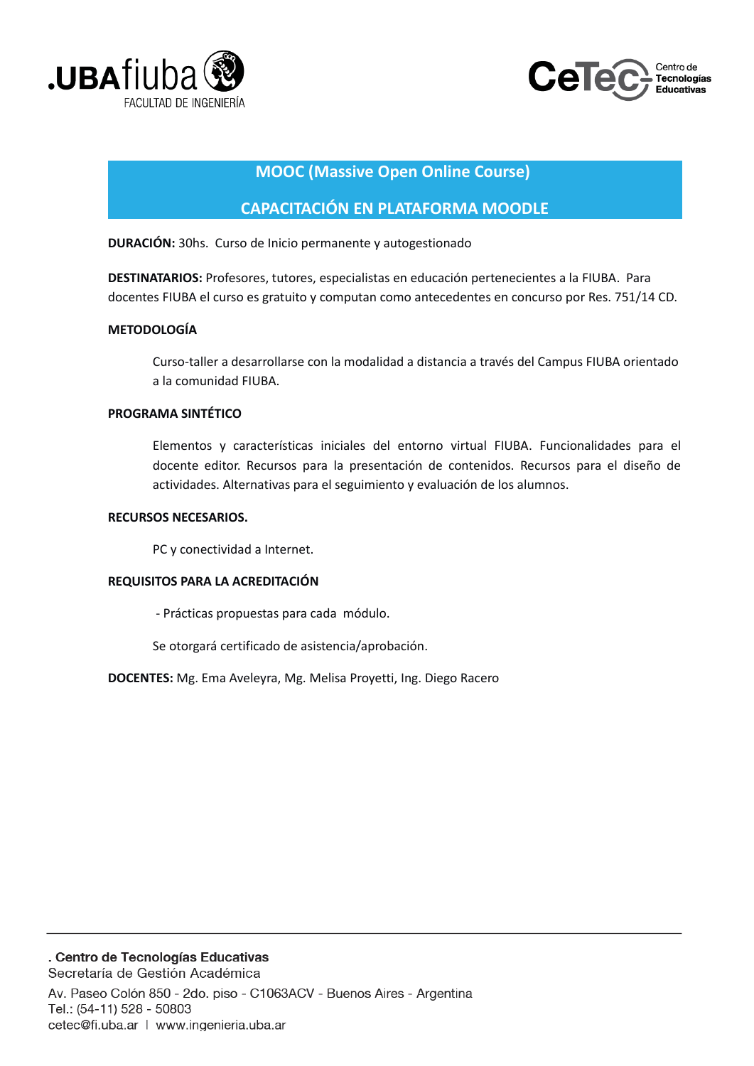



## **MOOC (Massive Open Online Course)**

## **CAPACITACIÓN EN PLATAFORMA MOODLE**

DURACIÓN: 30hs. Curso de Inicio permanente y autogestionado

DESTINATARIOS: Profesores, tutores, especialistas en educación pertenecientes a la FIUBA. Para docentes FIUBA el curso es gratuito y computan como antecedentes en concurso por Res. 751/14 CD.

### **METODOLOGÍA**

Curso-taller a desarrollarse con la modalidad a distancia a través del Campus FIUBA orientado a la comunidad FIUBA.

#### PROGRAMA SINTÉTICO

Elementos y características iniciales del entorno virtual FIUBA. Funcionalidades para el docente editor. Recursos para la presentación de contenidos. Recursos para el diseño de actividades. Alternativas para el seguimiento y evaluación de los alumnos.

#### **RECURSOS NECESARIOS.**

PC y conectividad a Internet.

### REQUISITOS PARA LA ACREDITACIÓN

- Prácticas propuestas para cada módulo.

Se otorgará certificado de asistencia/aprobación.

DOCENTES: Mg. Ema Aveleyra, Mg. Melisa Proyetti, Ing. Diego Racero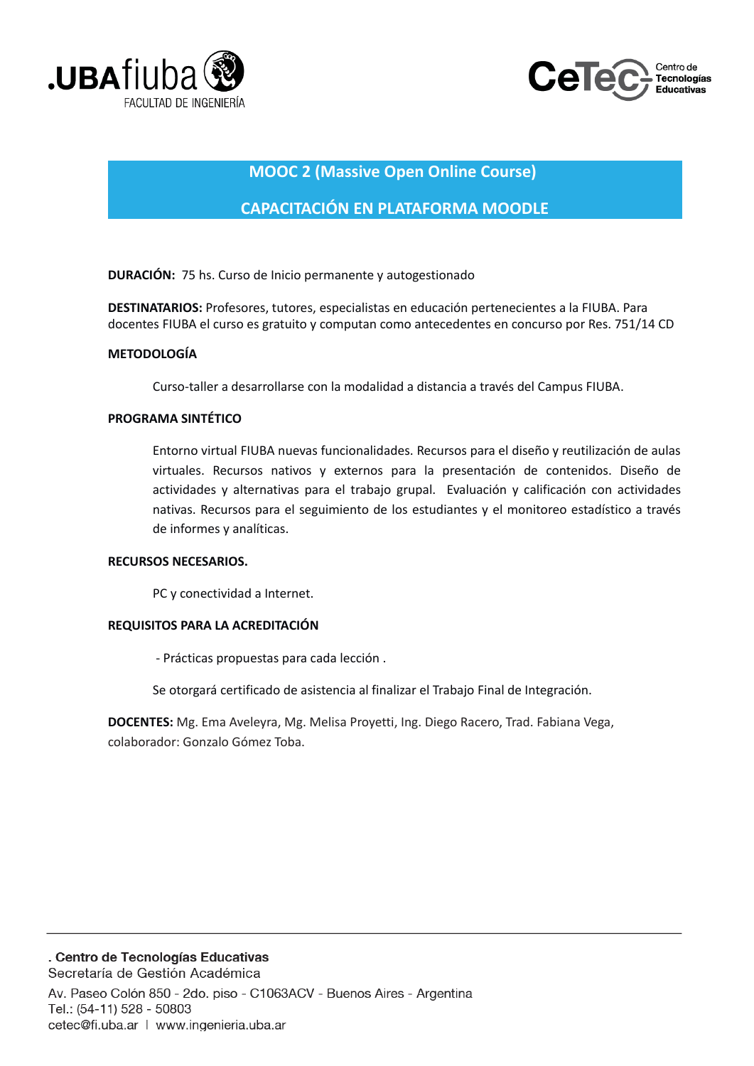



## **MOOC 2 (Massive Open Online Course)**

## **CAPACITACIÓN EN PLATAFORMA MOODLE**

**DURACIÓN:** 75 hs. Curso de Inicio permanente y autogestionado

DESTINATARIOS: Profesores, tutores, especialistas en educación pertenecientes a la FIUBA. Para docentes FIUBA el curso es gratuito y computan como antecedentes en concurso por Res. 751/14 CD

### **METODOLOGÍA**

Curso-taller a desarrollarse con la modalidad a distancia a través del Campus FIUBA.

### **PROGRAMA SINTÉTICO**

Entorno virtual FIUBA nuevas funcionalidades. Recursos para el diseño y reutilización de aulas virtuales. Recursos nativos y externos para la presentación de contenidos. Diseño de actividades y alternativas para el trabajo grupal. Evaluación y calificación con actividades nativas. Recursos para el seguimiento de los estudiantes y el monitoreo estadístico a través de informes y analíticas.

#### **RECURSOS NECESARIOS.**

PC y conectividad a Internet.

### REQUISITOS PARA LA ACREDITACIÓN

- Prácticas propuestas para cada lección.

Se otorgará certificado de asistencia al finalizar el Trabajo Final de Integración.

DOCENTES: Mg. Ema Aveleyra, Mg. Melisa Proyetti, Ing. Diego Racero, Trad. Fabiana Vega, colaborador: Gonzalo Gómez Toba.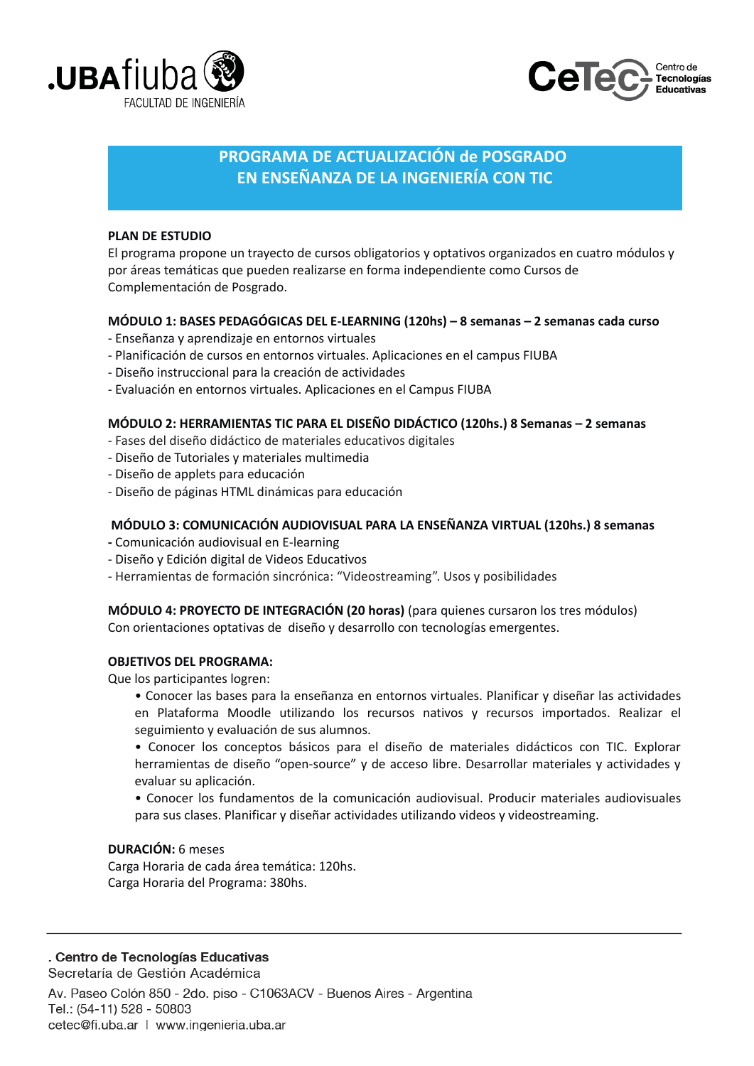



# PROGRAMA DE ACTUALIZACIÓN de POSGRADO EN ENSEÑANZA DE LA INGENIERÍA CON TIC

#### PLAN DE ESTUDIO

El programa propone un trayecto de cursos obligatorios y optativos organizados en cuatro módulos y por áreas temáticas que pueden realizarse en forma independiente como Cursos de Complementación de Posgrado.

#### MÓDULO 1: BASES PEDAGÓGICAS DEL E-LEARNING (120hs) - 8 semanas - 2 semanas cada curso

- Enseñanza y aprendizaje en entornos virtuales
- Planificación de cursos en entornos virtuales. Aplicaciones en el campus FIUBA
- Diseño instruccional para la creación de actividades
- Evaluación en entornos virtuales. Aplicaciones en el Campus FIUBA

### MÓDULO 2: HERRAMIENTAS TIC PARA EL DISEÑO DIDÁCTICO (120hs.) 8 Semanas - 2 semanas

- Fases del diseño didáctico de materiales educativos digitales
- Diseño de Tutoriales y materiales multimedia
- Diseño de applets para educación
- Diseño de páginas HTML dinámicas para educación

#### MÓDULO 3: COMUNICACIÓN AUDIOVISUAL PARA LA ENSEÑANZA VIRTUAL (120hs.) 8 semanas

- Comunicación audiovisual en E-learning
- Diseño y Edición digital de Videos Educativos
- Herramientas de formación sincrónica: "Videostreaming". Usos y posibilidades

MÓDULO 4: PROYECTO DE INTEGRACIÓN (20 horas) (para quienes cursaron los tres módulos) Con orientaciones optativas de diseño y desarrollo con tecnologías emergentes.

#### **OBJETIVOS DEL PROGRAMA:**

Que los participantes logren:

- Conocer las bases para la enseñanza en entornos virtuales. Planificar y diseñar las actividades en Plataforma Moodle utilizando los recursos nativos y recursos importados. Realizar el seguimiento y evaluación de sus alumnos.
- · Conocer los conceptos básicos para el diseño de materiales didácticos con TIC. Explorar herramientas de diseño "open-source" y de acceso libre. Desarrollar materiales y actividades y evaluar su aplicación.
- Conocer los fundamentos de la comunicación audiovisual. Producir materiales audiovisuales para sus clases. Planificar y diseñar actividades utilizando videos y videostreaming.

#### **DURACIÓN: 6 meses**

Carga Horaria de cada área temática: 120hs. Carga Horaria del Programa: 380hs.

## . Centro de Tecnologías Educativas

Secretaría de Gestión Académica Av. Paseo Colón 850 - 2do. piso - C1063ACV - Buenos Aires - Argentina Tel.: (54-11) 528 - 50803 cetec@fi.uba.ar | www.ingenieria.uba.ar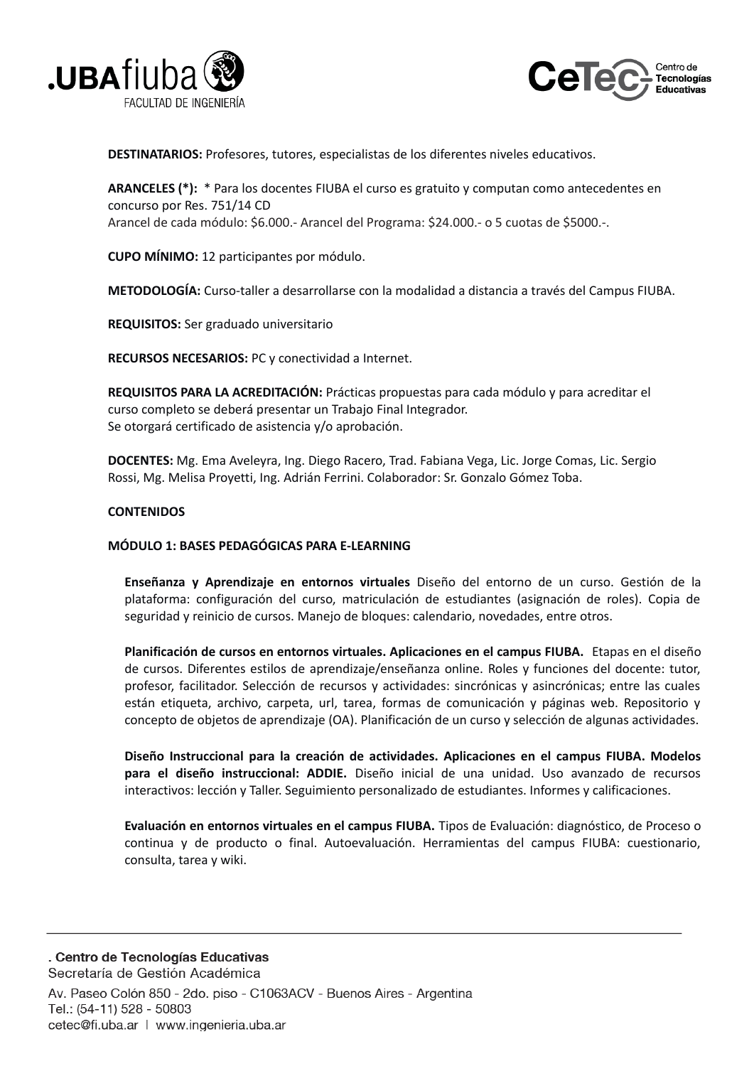



**DESTINATARIOS:** Profesores, tutores, especialistas de los diferentes niveles educativos.

**ARANCELES (\*):** \* Para los docentes FIUBA el curso es gratuito y computan como antecedentes en concurso por Res. 751/14 CD Arancel de cada módulo: \$6.000.- Arancel del Programa: \$24.000.- o 5 cuotas de \$5000.-.

**CUPO MÍNIMO:** 12 participantes por módulo.

METODOLOGÍA: Curso-taller a desarrollarse con la modalidad a distancia a través del Campus FIUBA.

REQUISITOS: Ser graduado universitario

**RECURSOS NECESARIOS: PC v conectividad a Internet.** 

REQUISITOS PARA LA ACREDITACIÓN: Prácticas propuestas para cada módulo y para acreditar el curso completo se deberá presentar un Trabajo Final Integrador. Se otorgará certificado de asistencia y/o aprobación.

DOCENTES: Mg. Ema Aveleyra, Ing. Diego Racero, Trad. Fabiana Vega, Lic. Jorge Comas, Lic. Sergio Rossi, Mg. Melisa Proyetti, Ing. Adrián Ferrini. Colaborador: Sr. Gonzalo Gómez Toba.

#### **CONTENIDOS**

#### MÓDULO 1: BASES PEDAGÓGICAS PARA E-LEARNING

Enseñanza y Aprendizaje en entornos virtuales Diseño del entorno de un curso. Gestión de la plataforma: configuración del curso, matriculación de estudiantes (asignación de roles). Copia de seguridad y reinicio de cursos. Manejo de bloques: calendario, novedades, entre otros.

Planificación de cursos en entornos virtuales. Aplicaciones en el campus FIUBA. Etapas en el diseño de cursos. Diferentes estilos de aprendizaje/enseñanza online. Roles y funciones del docente: tutor, profesor, facilitador. Selección de recursos y actividades: sincrónicas y asincrónicas; entre las cuales están etiqueta, archivo, carpeta, url, tarea, formas de comunicación y páginas web. Repositorio y concepto de objetos de aprendizaje (OA). Planificación de un curso y selección de algunas actividades.

Diseño Instruccional para la creación de actividades. Aplicaciones en el campus FIUBA. Modelos para el diseño instruccional: ADDIE. Diseño inicial de una unidad. Uso avanzado de recursos interactivos: lección y Taller. Seguimiento personalizado de estudiantes. Informes y calificaciones.

Evaluación en entornos virtuales en el campus FIUBA. Tipos de Evaluación: diagnóstico, de Proceso o continua y de producto o final. Autoevaluación. Herramientas del campus FIUBA: cuestionario, consulta, tarea y wiki.